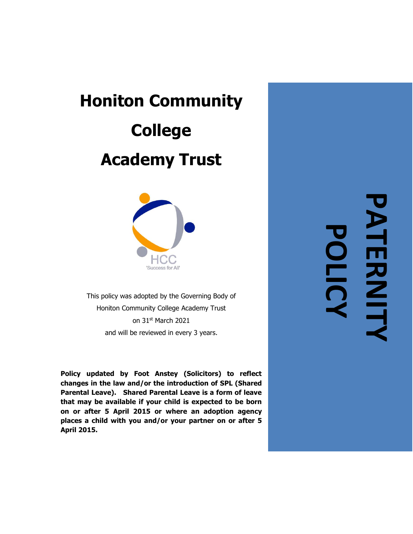# **Honiton Community College Academy Trust**



This policy was adopted by the Governing Body of Honiton Community College Academy Trust on 31 st March 2021 and will be reviewed in every 3 years.

**Policy updated by Foot Anstey (Solicitors) to reflect changes in the law and/or the introduction of SPL (Shared Parental Leave). Shared Parental Leave is a form of leave that may be available if your child is expected to be born on or after 5 April 2015 or where an adoption agency places a child with you and/or your partner on or after 5 April 2015.**

**PATERNITY** PATERNITY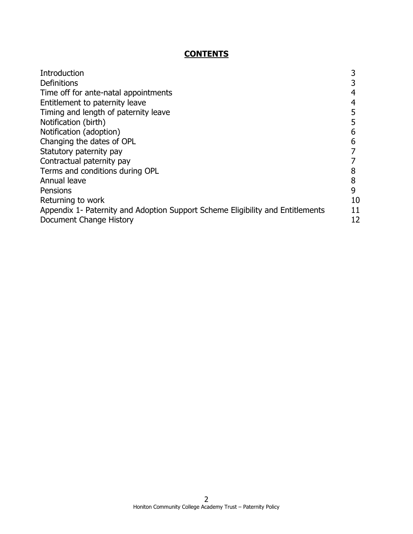# **CONTENTS**

| Introduction                                                                   |    |
|--------------------------------------------------------------------------------|----|
| Definitions                                                                    |    |
| Time off for ante-natal appointments                                           | 4  |
| Entitlement to paternity leave                                                 |    |
| Timing and length of paternity leave                                           |    |
| Notification (birth)                                                           |    |
| Notification (adoption)                                                        | 6  |
| Changing the dates of OPL                                                      | 6  |
| Statutory paternity pay                                                        |    |
| Contractual paternity pay                                                      |    |
| Terms and conditions during OPL                                                |    |
| Annual leave                                                                   | 8  |
| Pensions                                                                       | 9  |
| Returning to work                                                              | 10 |
| Appendix 1- Paternity and Adoption Support Scheme Eligibility and Entitlements | 11 |
| Document Change History                                                        | 12 |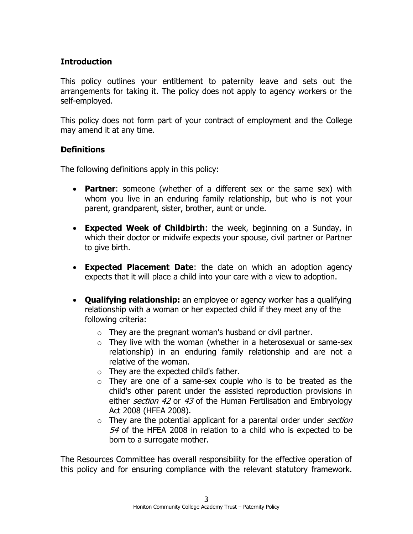### **Introduction**

This policy outlines your entitlement to paternity leave and sets out the arrangements for taking it. The policy does not apply to agency workers or the self-employed.

This policy does not form part of your contract of employment and the College may amend it at any time.

#### **Definitions**

The following definitions apply in this policy:

- **Partner**: someone (whether of a different sex or the same sex) with whom you live in an enduring family relationship, but who is not your parent, grandparent, sister, brother, aunt or uncle.
- **Expected Week of Childbirth**: the week, beginning on a Sunday, in which their doctor or midwife expects your spouse, civil partner or Partner to give birth.
- **Expected Placement Date**: the date on which an adoption agency expects that it will place a child into your care with a view to adoption.
- **Qualifying relationship:** an employee or agency worker has a qualifying relationship with a woman or her expected child if they meet any of the following criteria:
	- $\circ$  They are the pregnant woman's husband or civil partner.
	- $\circ$  They live with the woman (whether in a heterosexual or same-sex relationship) in an enduring family relationship and are not a relative of the woman.
	- $\circ$  They are the expected child's father.
	- $\circ$  They are one of a same-sex couple who is to be treated as the child's other parent under the assisted reproduction provisions in either *[section 42](http://uk.practicallaw.com/5-512-0368?pit=)* or [43](http://uk.practicallaw.com/3-512-0388?pit=) of the Human Fertilisation and Embryology Act 2008 (HFEA 2008).
	- $\circ$  They are the potential applicant for a parental order under *section* [54](http://uk.practicallaw.com/4-512-0769?pit=) of the HFEA 2008 in relation to a child who is expected to be born to a surrogate mother.

The Resources Committee has overall responsibility for the effective operation of this policy and for ensuring compliance with the relevant statutory framework.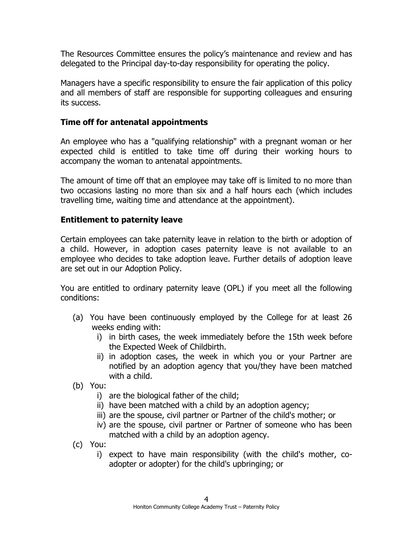The Resources Committee ensures the policy's maintenance and review and has delegated to the Principal day-to-day responsibility for operating the policy.

Managers have a specific responsibility to ensure the fair application of this policy and all members of staff are responsible for supporting colleagues and ensuring its success.

#### **Time off for antenatal appointments**

An employee who has a "qualifying relationship" with a pregnant woman or her expected child is entitled to take time off during their working hours to accompany the woman to antenatal appointments.

The amount of time off that an employee may take off is limited to no more than two occasions lasting no more than six and a half hours each (which includes travelling time, waiting time and attendance at the appointment).

#### **Entitlement to paternity leave**

Certain employees can take paternity leave in relation to the birth or adoption of a child. However, in adoption cases paternity leave is not available to an employee who decides to take adoption leave. Further details of adoption leave are set out in our Adoption Policy.

You are entitled to ordinary paternity leave (OPL) if you meet all the following conditions:

- (a) You have been continuously employed by the College for at least 26 weeks ending with:
	- i) in birth cases, the week immediately before the 15th week before the Expected Week of Childbirth.
	- ii) in adoption cases, the week in which you or your Partner are notified by an adoption agency that you/they have been matched with a child.
- (b) You:
	- i) are the biological father of the child;
	- ii) have been matched with a child by an adoption agency;
	- iii) are the spouse, civil partner or Partner of the child's mother; or
	- iv) are the spouse, civil partner or Partner of someone who has been matched with a child by an adoption agency.
- (c) You:
	- i) expect to have main responsibility (with the child's mother, coadopter or adopter) for the child's upbringing; or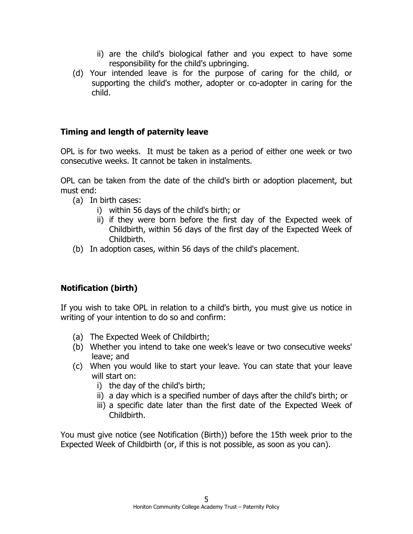- ii) are the child's biological father and you expect to have some responsibility for the child's upbringing.
- (d) Your intended leave is for the purpose of caring for the child, or supporting the child's mother, adopter or co-adopter in caring for the child.

### **Timing and length of paternity leave**

OPL is for two weeks. It must be taken as a period of either one week or two consecutive weeks. It cannot be taken in instalments.

OPL can be taken from the date of the child's birth or adoption placement, but must end:

- (a) In birth cases:
	- i) within 56 days of the child's birth; or
	- ii) if they were born before the first day of the Expected week of Childbirth, within 56 days of the first day of the Expected Week of Childbirth.
- (b) In adoption cases, within 56 days of the child's placement.

# **Notification (birth)**

If you wish to take OPL in relation to a child's birth, you must give us notice in writing of your intention to do so and confirm:

- (a) The Expected Week of Childbirth;
- (b) Whether you intend to take one week's leave or two consecutive weeks' leave; and
- (c) When you would like to start your leave. You can state that your leave will start on:
	- i) the day of the child's birth;
	- ii) a day which is a specified number of days after the child's birth; or
	- iii) a specific date later than the first date of the Expected Week of Childbirth.

You must give notice (see Notification (Birth)) before the 15th week prior to the Expected Week of Childbirth (or, if this is not possible, as soon as you can).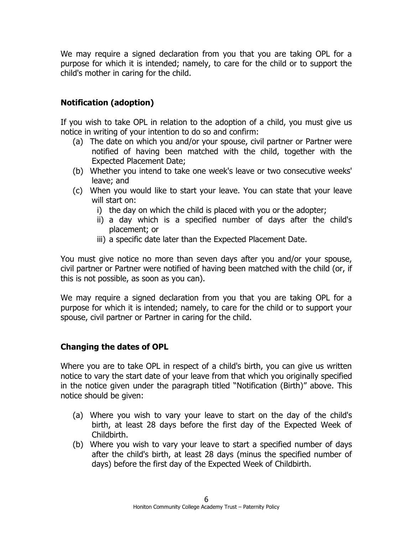We may require a signed declaration from you that you are taking OPL for a purpose for which it is intended; namely, to care for the child or to support the child's mother in caring for the child.

# **Notification (adoption)**

If you wish to take OPL in relation to the adoption of a child, you must give us notice in writing of your intention to do so and confirm:

- (a) The date on which you and/or your spouse, civil partner or Partner were notified of having been matched with the child, together with the Expected Placement Date;
- (b) Whether you intend to take one week's leave or two consecutive weeks' leave; and
- (c) When you would like to start your leave. You can state that your leave will start on:
	- i) the day on which the child is placed with you or the adopter;
	- ii) a day which is a specified number of days after the child's placement; or
	- iii) a specific date later than the Expected Placement Date.

You must give notice no more than seven days after you and/or your spouse, civil partner or Partner were notified of having been matched with the child (or, if this is not possible, as soon as you can).

We may require a signed declaration from you that you are taking OPL for a purpose for which it is intended; namely, to care for the child or to support your spouse, civil partner or Partner in caring for the child.

# **Changing the dates of OPL**

Where you are to take OPL in respect of a child's birth, you can give us written notice to vary the start date of your leave from that which you originally specified in the notice given under the paragraph titled "Notification (Birth)" above. This notice should be given:

- (a) Where you wish to vary your leave to start on the day of the child's birth, at least 28 days before the first day of the Expected Week of Childbirth.
- (b) Where you wish to vary your leave to start a specified number of days after the child's birth, at least 28 days (minus the specified number of days) before the first day of the Expected Week of Childbirth.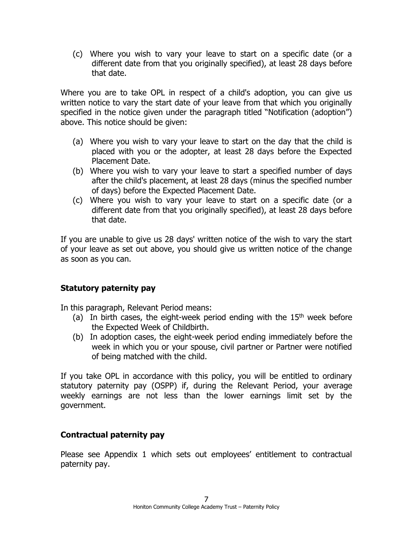(c) Where you wish to vary your leave to start on a specific date (or a different date from that you originally specified), at least 28 days before that date.

Where you are to take OPL in respect of a child's adoption, you can give us written notice to vary the start date of your leave from that which you originally specified in the notice given under the paragraph titled "Notification (adoption") above. This notice should be given:

- (a) Where you wish to vary your leave to start on the day that the child is placed with you or the adopter, at least 28 days before the Expected Placement Date.
- (b) Where you wish to vary your leave to start a specified number of days after the child's placement, at least 28 days (minus the specified number of days) before the Expected Placement Date.
- (c) Where you wish to vary your leave to start on a specific date (or a different date from that you originally specified), at least 28 days before that date.

If you are unable to give us 28 days' written notice of the wish to vary the start of your leave as set out above, you should give us written notice of the change as soon as you can.

#### **Statutory paternity pay**

In this paragraph, Relevant Period means:

- (a) In birth cases, the eight-week period ending with the  $15<sup>th</sup>$  week before the Expected Week of Childbirth.
- (b) In adoption cases, the eight-week period ending immediately before the week in which you or your spouse, civil partner or Partner were notified of being matched with the child.

If you take OPL in accordance with this policy, you will be entitled to ordinary statutory paternity pay (OSPP) if, during the Relevant Period, your average weekly earnings are not less than the lower earnings limit set by the government.

#### **Contractual paternity pay**

Please see Appendix 1 which sets out employees' entitlement to contractual paternity pay.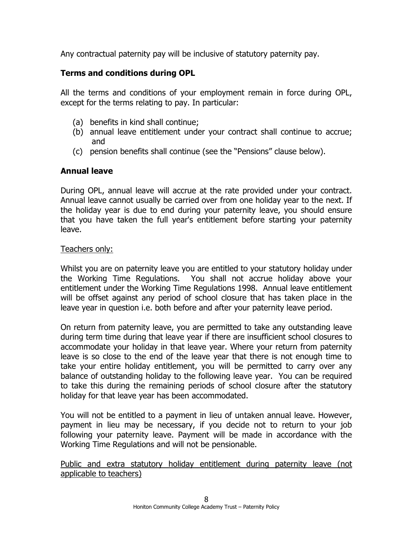Any contractual paternity pay will be inclusive of statutory paternity pay.

### **Terms and conditions during OPL**

All the terms and conditions of your employment remain in force during OPL, except for the terms relating to pay. In particular:

- (a) benefits in kind shall continue;
- (b) annual leave entitlement under your contract shall continue to accrue; and
- (c) pension benefits shall continue (see the "Pensions" clause below).

### **Annual leave**

During OPL, annual leave will accrue at the rate provided under your contract. Annual leave cannot usually be carried over from one holiday year to the next. If the holiday year is due to end during your paternity leave, you should ensure that you have taken the full year's entitlement before starting your paternity leave.

#### Teachers only:

Whilst you are on paternity leave you are entitled to your statutory holiday under the Working Time Regulations. You shall not accrue holiday above your entitlement under the Working Time Regulations 1998. Annual leave entitlement will be offset against any period of school closure that has taken place in the leave year in question i.e. both before and after your paternity leave period.

On return from paternity leave, you are permitted to take any outstanding leave during term time during that leave year if there are insufficient school closures to accommodate your holiday in that leave year. Where your return from paternity leave is so close to the end of the leave year that there is not enough time to take your entire holiday entitlement, you will be permitted to carry over any balance of outstanding holiday to the following leave year. You can be required to take this during the remaining periods of school closure after the statutory holiday for that leave year has been accommodated.

You will not be entitled to a payment in lieu of untaken annual leave. However, payment in lieu may be necessary, if you decide not to return to your job following your paternity leave. Payment will be made in accordance with the Working Time Regulations and will not be pensionable.

Public and extra statutory holiday entitlement during paternity leave (not applicable to teachers)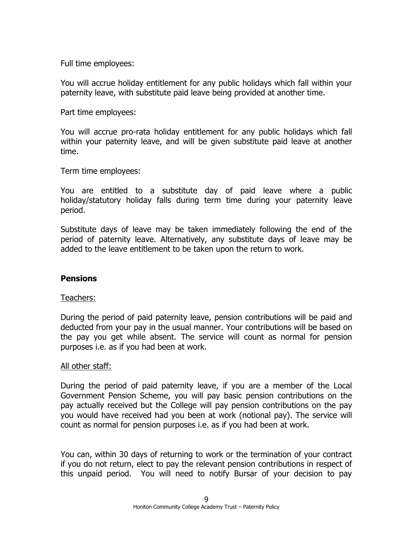Full time employees:

You will accrue holiday entitlement for any public holidays which fall within your paternity leave, with substitute paid leave being provided at another time.

Part time employees:

You will accrue pro-rata holiday entitlement for any public holidays which fall within your paternity leave, and will be given substitute paid leave at another time.

Term time employees:

You are entitled to a substitute day of paid leave where a public holiday/statutory holiday falls during term time during your paternity leave period.

Substitute days of leave may be taken immediately following the end of the period of paternity leave. Alternatively, any substitute days of leave may be added to the leave entitlement to be taken upon the return to work.

#### **Pensions**

#### Teachers:

During the period of paid paternity leave, pension contributions will be paid and deducted from your pay in the usual manner. Your contributions will be based on the pay you get while absent. The service will count as normal for pension purposes i.e. as if you had been at work.

#### All other staff:

During the period of paid paternity leave, if you are a member of the Local Government Pension Scheme, you will pay basic pension contributions on the pay actually received but the College will pay pension contributions on the pay you would have received had you been at work (notional pay). The service will count as normal for pension purposes i.e. as if you had been at work.

You can, within 30 days of returning to work or the termination of your contract if you do not return, elect to pay the relevant pension contributions in respect of this unpaid period. You will need to notify Bursar of your decision to pay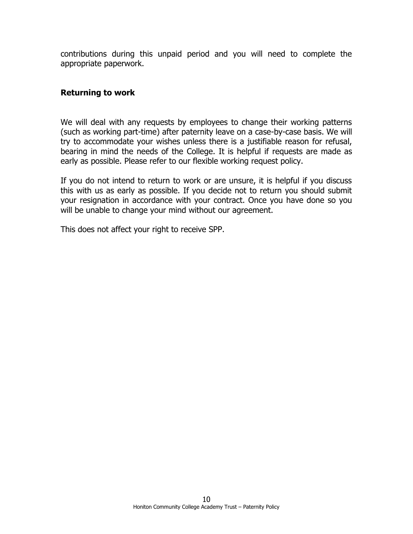contributions during this unpaid period and you will need to complete the appropriate paperwork.

#### **Returning to work**

We will deal with any requests by employees to change their working patterns (such as working part-time) after paternity leave on a case-by-case basis. We will try to accommodate your wishes unless there is a justifiable reason for refusal, bearing in mind the needs of the College. It is helpful if requests are made as early as possible. Please refer to our flexible working request policy.

If you do not intend to return to work or are unsure, it is helpful if you discuss this with us as early as possible. If you decide not to return you should submit your resignation in accordance with your contract. Once you have done so you will be unable to change your mind without our agreement.

This does not affect your right to receive SPP.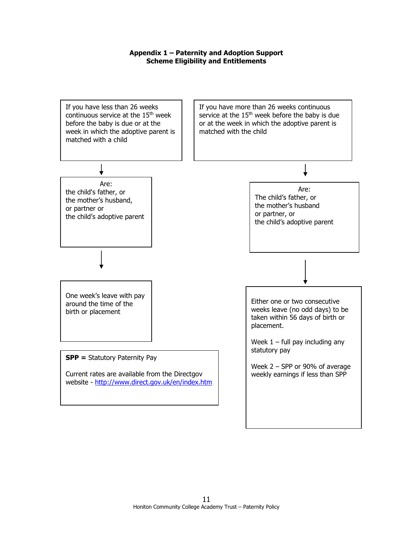#### **Appendix 1 – Paternity and Adoption Support Scheme Eligibility and Entitlements**